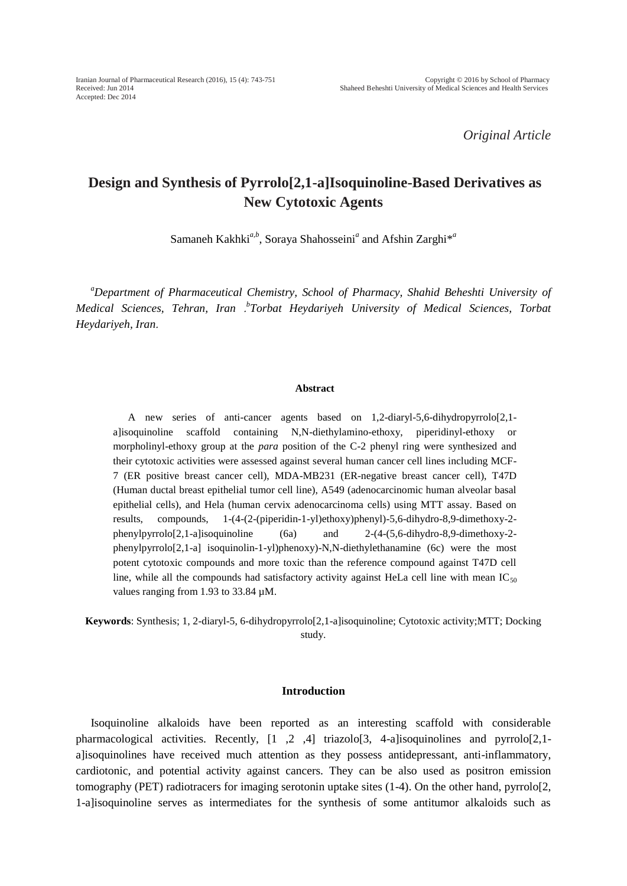*Original Article*

# **Design and Synthesis of Pyrrolo[2,1-a]Isoquinoline-Based Derivatives as New Cytotoxic Agents**

Samaneh Kakhki<sup>a,b</sup>, Soraya Shahosseini<sup>a</sup> and Afshin Zarghi<sup>\*a</sup>

*<sup>a</sup>Department of Pharmaceutical Chemistry, School of Pharmacy, Shahid Beheshti University of Medical Sciences, Tehran, Iran* . *b Torbat Heydariyeh University of Medical Sciences, Torbat Heydariyeh, Iran*.

#### **Abstract**

A new series of anti-cancer agents based on 1,2-diaryl-5,6-dihydropyrrolo[2,1 a]isoquinoline scaffold containing N,N-diethylamino-ethoxy, piperidinyl-ethoxy or morpholinyl-ethoxy group at the *para* position of the C-2 phenyl ring were synthesized and their cytotoxic activities were assessed against several human cancer cell lines including MCF-7 (ER positive breast cancer cell), MDA-MB231 (ER-negative breast cancer cell), T47D (Human ductal breast epithelial tumor cell line), A549 (adenocarcinomic human alveolar basal epithelial cells), and Hela (human cervix adenocarcinoma cells) using MTT assay. Based on results, compounds, 1-(4-(2-(piperidin-1-yl)ethoxy)phenyl)-5,6-dihydro-8,9-dimethoxy-2 phenylpyrrolo[2,1-a]isoquinoline (6a) and 2-(4-(5,6-dihydro-8,9-dimethoxy-2 phenylpyrrolo[2,1-a] isoquinolin-1-yl)phenoxy)-N,N-diethylethanamine (6c) were the most potent cytotoxic compounds and more toxic than the reference compound against T47D cell line, while all the compounds had satisfactory activity against HeLa cell line with mean  $IC_{50}$ values ranging from 1.93 to 33.84 µM.

**Keywords**: Synthesis; 1, 2-diaryl-5, 6-dihydropyrrolo[2,1-a]isoquinoline; Cytotoxic activity;MTT; Docking study.

#### **Introduction**

Isoquinoline alkaloids have been reported as an interesting scaffold with considerable pharmacological activities. Recently, [1 ,2 ,4] triazolo[3, 4-a]isoquinolines and pyrrolo[2,1 alisoquinolines have received much attention as they possess antidepressant, anti-inflammatory, cardiotonic, and potential activity against cancers. They can be also used as positron emission tomography (PET) radiotracers for imaging serotonin uptake sites (1-4). On the other hand, pyrrolo[2, 1-a]isoquinoline serves as intermediates for the synthesis of some antitumor alkaloids such as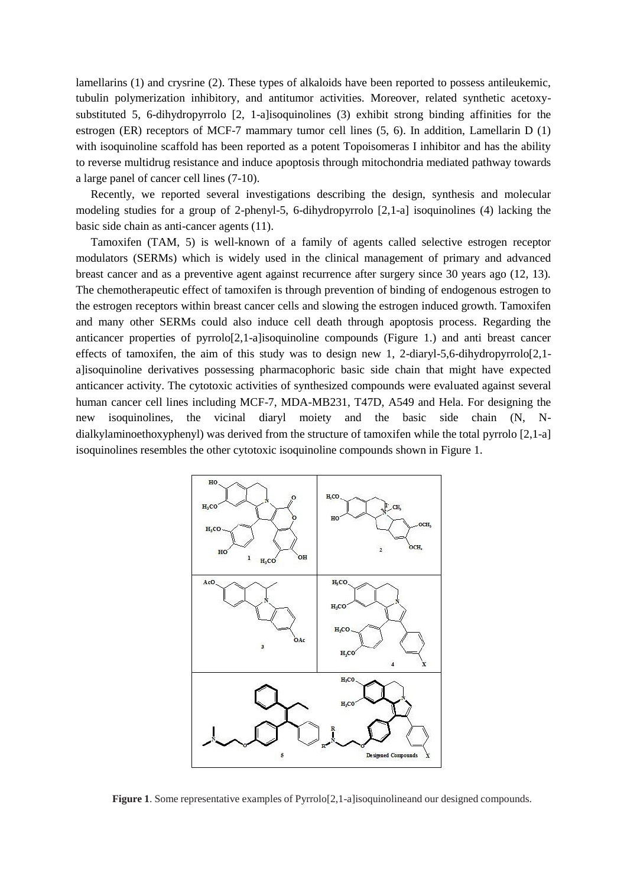lamellarins (1) and crysrine (2). These types of alkaloids have been reported to possess antileukemic, tubulin polymerization inhibitory, and antitumor activities. Moreover, related synthetic acetoxysubstituted 5, 6-dihydropyrrolo [2, 1-a]isoquinolines (3) exhibit strong binding affinities for the estrogen (ER) receptors of MCF-7 mammary tumor cell lines (5, 6). In addition, Lamellarin D (1) with isoquinoline scaffold has been reported as a potent Topoisomeras I inhibitor and has the ability to reverse multidrug resistance and induce apoptosis through mitochondria mediated pathway towards a large panel of cancer cell lines (7-10).

Recently, we reported several investigations describing the design, synthesis and molecular modeling studies for a group of 2-phenyl-5, 6-dihydropyrrolo [2,1-a] isoquinolines (4) lacking the basic side chain as anti-cancer agents (11).

Tamoxifen (TAM, 5) is well-known of a family of agents called selective estrogen receptor modulators (SERMs) which is widely used in the clinical management of primary and advanced breast cancer and as a preventive agent against recurrence after surgery since 30 years ago (12, 13). The chemotherapeutic effect of tamoxifen is through prevention of binding of endogenous estrogen to the estrogen receptors within breast cancer cells and slowing the estrogen induced growth. Tamoxifen and many other SERMs could also induce cell death through apoptosis process. Regarding the anticancer properties of pyrrolo[2,1-a]isoquinoline compounds (Figure 1.) and anti breast cancer effects of tamoxifen, the aim of this study was to design new 1, 2-diaryl-5,6-dihydropyrrolo[2,1a]isoquinoline derivatives possessing pharmacophoric basic side chain that might have expected anticancer activity. The cytotoxic activities of synthesized compounds were evaluated against several human cancer cell lines including MCF-7, MDA-MB231, T47D, A549 and Hela. For designing the new isoquinolines, the vicinal diaryl moiety and the basic side chain (N, Ndialkylaminoethoxyphenyl) was derived from the structure of tamoxifen while the total pyrrolo [2,1-a] isoquinolines resembles the other cytotoxic isoquinoline compounds shown in Figure 1.



**Figure 1.** Some representative examples of Pyrrolo[2,1-a]isoquinolineand our designed compounds.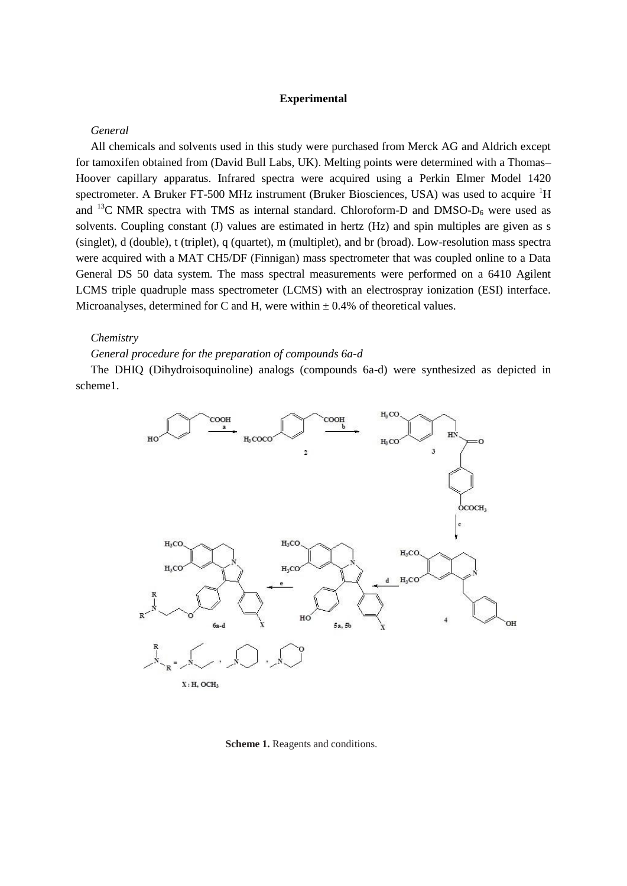#### **Experimental**

#### *General*

All chemicals and solvents used in this study were purchased from Merck AG and Aldrich except for tamoxifen obtained from (David Bull Labs, UK). Melting points were determined with a Thomas– Hoover capillary apparatus. Infrared spectra were acquired using a Perkin Elmer Model 1420 spectrometer. A Bruker FT-500 MHz instrument (Bruker Biosciences, USA) was used to acquire <sup>1</sup>H and  $^{13}$ C NMR spectra with TMS as internal standard. Chloroform-D and DMSO-D<sub>6</sub> were used as solvents. Coupling constant (J) values are estimated in hertz (Hz) and spin multiples are given as s (singlet), d (double), t (triplet), q (quartet), m (multiplet), and br (broad). Low-resolution mass spectra were acquired with a MAT CH5/DF (Finnigan) mass spectrometer that was coupled online to a Data General DS 50 data system. The mass spectral measurements were performed on a 6410 Agilent LCMS triple quadruple mass spectrometer (LCMS) with an electrospray ionization (ESI) interface. Microanalyses, determined for C and H, were within  $\pm$  0.4% of theoretical values.

#### *Chemistry*

### *General procedure for the preparation of compounds 6a-d*

The DHIQ (Dihydroisoquinoline) analogs (compounds 6a-d) were synthesized as depicted in scheme1.



#### **Scheme 1.** Reagents and conditions.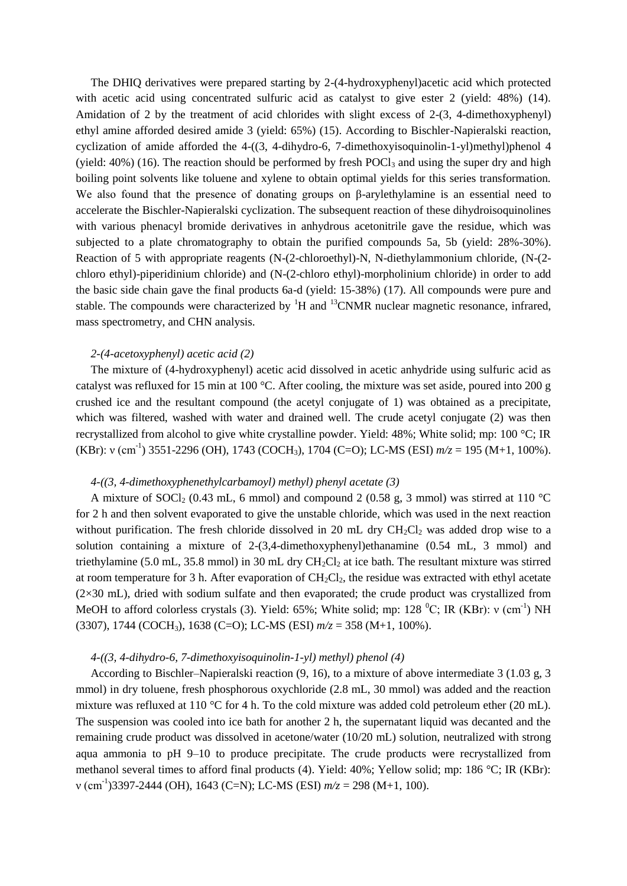The DHIQ derivatives were prepared starting by 2-(4-hydroxyphenyl)acetic acid which protected with acetic acid using concentrated sulfuric acid as catalyst to give ester 2 (yield: 48%) (14). Amidation of 2 by the treatment of acid chlorides with slight excess of 2-(3, 4-dimethoxyphenyl) ethyl amine afforded desired amide 3 (yield: 65%) (15). According to Bischler-Napieralski reaction, cyclization of amide afforded the 4-((3, 4-dihydro-6, 7-dimethoxyisoquinolin-1-yl)methyl)phenol 4 (yield: 40%) (16). The reaction should be performed by fresh POCl<sub>3</sub> and using the super dry and high boiling point solvents like toluene and xylene to obtain optimal yields for this series transformation. We also found that the presence of donating groups on β-arylethylamine is an essential need to accelerate the Bischler-Napieralski cyclization. The subsequent reaction of these dihydroisoquinolines with various phenacyl bromide derivatives in anhydrous acetonitrile gave the residue, which was subjected to a plate chromatography to obtain the purified compounds 5a, 5b (yield: 28%-30%). Reaction of 5 with appropriate reagents (N-(2-chloroethyl)-N, N-diethylammonium chloride, (N-(2 chloro ethyl)-piperidinium chloride) and (N-(2-chloro ethyl)-morpholinium chloride) in order to add the basic side chain gave the final products 6a-d (yield: 15-38%) (17). All compounds were pure and stable. The compounds were characterized by  ${}^{1}H$  and  ${}^{13}CNMR$  nuclear magnetic resonance, infrared, mass spectrometry, and CHN analysis.

#### *2-(4-acetoxyphenyl) acetic acid (2)*

The mixture of (4-hydroxyphenyl) acetic acid dissolved in acetic anhydride using sulfuric acid as catalyst was refluxed for 15 min at 100 °C. After cooling, the mixture was set aside, poured into 200 g crushed ice and the resultant compound (the acetyl conjugate of 1) was obtained as a precipitate, which was filtered, washed with water and drained well. The crude acetyl conjugate (2) was then recrystallized from alcohol to give white crystalline powder. Yield: 48%; White solid; mp: 100 °C; IR (KBr): v (cm<sup>-1</sup>) 3551-2296 (OH), 1743 (COCH<sub>3</sub>), 1704 (C=O); LC-MS (ESI)  $m/z = 195$  (M+1, 100%).

### *4-((3, 4-dimethoxyphenethylcarbamoyl) methyl) phenyl acetate (3)*

A mixture of SOCl<sub>2</sub> (0.43 mL, 6 mmol) and compound 2 (0.58 g, 3 mmol) was stirred at 110 °C for 2 h and then solvent evaporated to give the unstable chloride, which was used in the next reaction without purification. The fresh chloride dissolved in 20 mL dry  $CH_2Cl_2$  was added drop wise to a solution containing a mixture of  $2-(3,4$ -dimethoxyphenyl)ethanamine  $(0.54 \text{ mL}, 3 \text{ mmol})$  and triethylamine (5.0 mL, 35.8 mmol) in 30 mL dry  $CH_2Cl_2$  at ice bath. The resultant mixture was stirred at room temperature for 3 h. After evaporation of  $CH_2Cl_2$ , the residue was extracted with ethyl acetate  $(2\times30 \text{ mL})$ , dried with sodium sulfate and then evaporated; the crude product was crystallized from MeOH to afford colorless crystals (3). Yield: 65%; White solid; mp: 128  $^0C$ ; IR (KBr):  $v$  (cm<sup>-1</sup>) NH (3307), 1744 (COCH3), 1638 (C=O); LC-MS (ESI) *m/z* = 358 (M+1, 100%).

#### *4-((3, 4-dihydro-6, 7-dimethoxyisoquinolin-1-yl) methyl) phenol (4)*

According to Bischler–Napieralski reaction (9, 16), to a mixture of above intermediate 3 (1.03 g, 3 mmol) in dry toluene, fresh phosphorous oxychloride (2.8 mL, 30 mmol) was added and the reaction mixture was refluxed at 110 °C for 4 h. To the cold mixture was added cold petroleum ether (20 mL). The suspension was cooled into ice bath for another 2 h, the supernatant liquid was decanted and the remaining crude product was dissolved in acetone/water (10/20 mL) solution, neutralized with strong aqua ammonia to pH 9–10 to produce precipitate. The crude products were recrystallized from methanol several times to afford final products (4). Yield: 40%; Yellow solid; mp: 186 °C; IR (KBr): ν (cm-1 )3397-2444 (OH), 1643 (C=N); LC-MS (ESI) *m/z* = 298 (M+1, 100).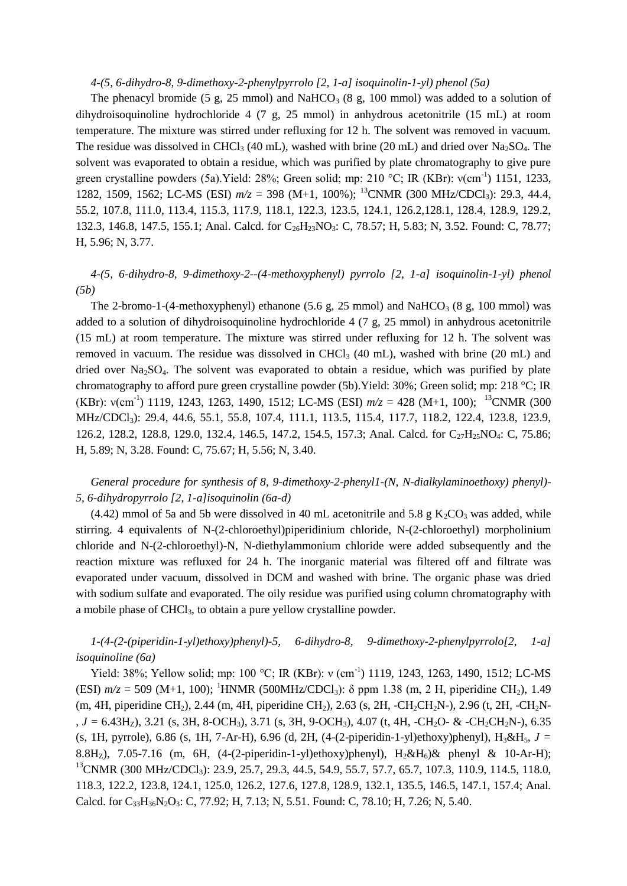#### *4-(5, 6-dihydro-8, 9-dimethoxy-2-phenylpyrrolo [2, 1-a] isoquinolin-1-yl) phenol (5a)*

The phenacyl bromide (5 g, 25 mmol) and NaHCO<sub>3</sub> (8 g, 100 mmol) was added to a solution of dihydroisoquinoline hydrochloride 4 (7 g, 25 mmol) in anhydrous acetonitrile (15 mL) at room temperature. The mixture was stirred under refluxing for 12 h. The solvent was removed in vacuum. The residue was dissolved in CHCl<sub>3</sub> (40 mL), washed with brine (20 mL) and dried over Na<sub>2</sub>SO<sub>4</sub>. The solvent was evaporated to obtain a residue, which was purified by plate chromatography to give pure green crystalline powders (5a). Yield: 28%; Green solid; mp: 210 °C; IR (KBr):  $v$ (cm<sup>-1</sup>) 1151, 1233, 1282, 1509, 1562; LC-MS (ESI)  $m/z = 398$  (M+1, 100%); <sup>13</sup>CNMR (300 MHz/CDCl<sub>3</sub>): 29.3, 44.4, 55.2, 107.8, 111.0, 113.4, 115.3, 117.9, 118.1, 122.3, 123.5, 124.1, 126.2,128.1, 128.4, 128.9, 129.2, 132.3, 146.8, 147.5, 155.1; Anal. Calcd. for C<sub>26</sub>H<sub>23</sub>NO<sub>3</sub>: C, 78.57; H, 5.83; N, 3.52. Found: C, 78.77; H, 5.96; N, 3.77.

## *4-(5, 6-dihydro-8, 9-dimethoxy-2--(4-methoxyphenyl) pyrrolo [2, 1-a] isoquinolin-1-yl) phenol (5b)*

The 2-bromo-1-(4-methoxyphenyl) ethanone (5.6 g, 25 mmol) and NaHCO<sub>3</sub> (8 g, 100 mmol) was added to a solution of dihydroisoquinoline hydrochloride 4 (7 g, 25 mmol) in anhydrous acetonitrile (15 mL) at room temperature. The mixture was stirred under refluxing for 12 h. The solvent was removed in vacuum. The residue was dissolved in CHCl<sub>3</sub> (40 mL), washed with brine (20 mL) and dried over Na<sub>2</sub>SO<sub>4</sub>. The solvent was evaporated to obtain a residue, which was purified by plate chromatography to afford pure green crystalline powder (5b).Yield: 30%; Green solid; mp: 218 °C; IR (KBr):  $v$ (cm<sup>-1</sup>) 1119, 1243, 1263, 1490, 1512; LC-MS (ESI)  $m/z = 428$  (M+1, 100); <sup>13</sup>CNMR (300 MHz/CDCl<sub>3</sub>): 29.4, 44.6, 55.1, 55.8, 107.4, 111.1, 113.5, 115.4, 117.7, 118.2, 122.4, 123.8, 123.9, 126.2, 128.2, 128.8, 129.0, 132.4, 146.5, 147.2, 154.5, 157.3; Anal. Calcd. for C<sub>27</sub>H<sub>25</sub>NO<sub>4</sub>: C, 75.86; H, 5.89; N, 3.28. Found: C, 75.67; H, 5.56; N, 3.40.

## *General procedure for synthesis of 8, 9-dimethoxy-2-phenyl1-(N, N-dialkylaminoethoxy) phenyl)- 5, 6-dihydropyrrolo [2, 1-a]isoquinolin (6a-d)*

(4.42) mmol of 5a and 5b were dissolved in 40 mL acetonitrile and 5.8 g  $K_2CO_3$  was added, while stirring. 4 equivalents of N-(2-chloroethyl)piperidinium chloride, N-(2-chloroethyl) morpholinium chloride and N-(2-chloroethyl)-N, N-diethylammonium chloride were added subsequently and the reaction mixture was refluxed for 24 h. The inorganic material was filtered off and filtrate was evaporated under vacuum, dissolved in DCM and washed with brine. The organic phase was dried with sodium sulfate and evaporated. The oily residue was purified using column chromatography with a mobile phase of CHCl<sub>3</sub>, to obtain a pure yellow crystalline powder.

## *1-(4-(2-(piperidin-1-yl)ethoxy)phenyl)-5, 6-dihydro-8, 9-dimethoxy-2-phenylpyrrolo[2, 1-a] isoquinoline (6a)*

Yield: 38%; Yellow solid; mp: 100 °C; IR (KBr): ν (cm<sup>-1</sup>) 1119, 1243, 1263, 1490, 1512; LC-MS (ESI)  $m/z = 509$  (M+1, 100); <sup>1</sup>HNMR (500MHz/CDCl<sub>3</sub>):  $\delta$  ppm 1.38 (m, 2 H, piperidine CH<sub>2</sub>), 1.49 (m, 4H, piperidine CH<sub>2</sub>), 2.44 (m, 4H, piperidine CH<sub>2</sub>), 2.63 (s, 2H, -CH<sub>2</sub>CH<sub>2</sub>N-), 2.96 (t, 2H, -CH<sub>2</sub>N-, *J =* 6.43HZ), 3.21 (s, 3H, 8-OCH3), 3.71 (s, 3H, 9-OCH3), 4.07 (t, 4H, -CH2O- & -CH2CH2N-), 6.35 (s, 1H, pyrrole), 6.86 (s, 1H, 7-Ar-H), 6.96 (d, 2H,  $(4-(2-piperidin-1-ylethoxy)phenyl)$ ,  $H_3\&H_5$ ,  $J =$ 8.8H<sub>z</sub>), 7.05-7.16 (m, 6H, (4-(2-piperidin-1-yl)ethoxy)phenyl), H<sub>2</sub>&H<sub>6</sub>)& phenyl & 10-Ar-H); <sup>13</sup>CNMR (300 MHz/CDCl<sub>3</sub>): 23.9, 25.7, 29.3, 44.5, 54.9, 55.7, 57.7, 65.7, 107.3, 110.9, 114.5, 118.0, 118.3, 122.2, 123.8, 124.1, 125.0, 126.2, 127.6, 127.8, 128.9, 132.1, 135.5, 146.5, 147.1, 157.4; Anal. Calcd. for C<sub>33</sub>H<sub>36</sub>N<sub>2</sub>O<sub>3</sub>: C, 77.92; H, 7.13; N, 5.51. Found: C, 78.10; H, 7.26; N, 5.40.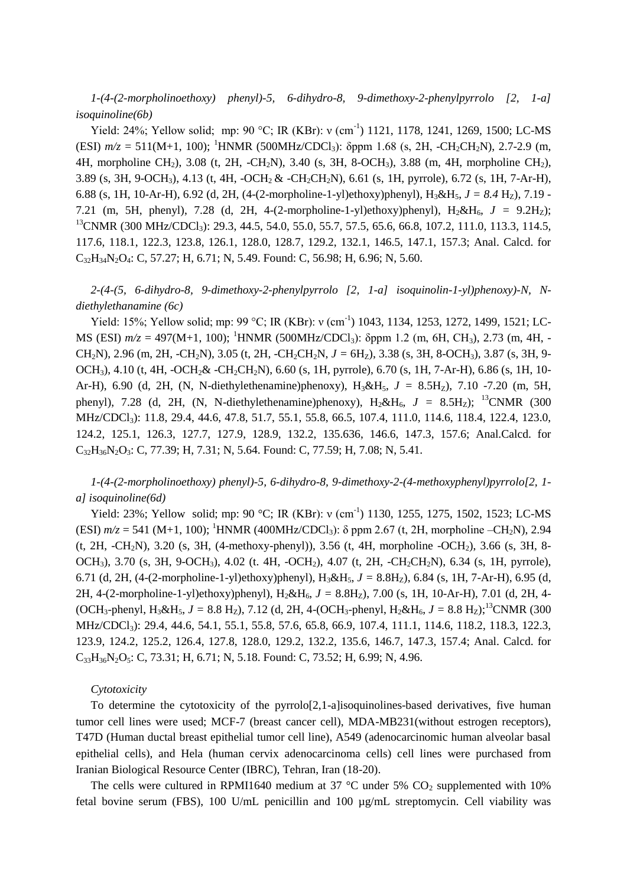*1-(4-(2-morpholinoethoxy) phenyl)-5, 6-dihydro-8, 9-dimethoxy-2-phenylpyrrolo [2, 1-a] isoquinoline(6b)*

Yield: 24%; Yellow solid; mp: 90 °C; IR (KBr): ν (cm<sup>-1</sup>) 1121, 1178, 1241, 1269, 1500; LC-MS (ESI)  $m/z = 511(M+1, 100)$ ; <sup>1</sup>HNMR (500MHz/CDCl<sub>3</sub>): δppm 1.68 (s, 2H, -CH<sub>2</sub>CH<sub>2</sub>N), 2.7-2.9 (m, 4H, morpholine CH2), 3.08 (t, 2H, -CH2N), 3.40 (s, 3H, 8-OCH3), 3.88 (m, 4H, morpholine CH2), 3.89 (s, 3H, 9-OCH3), 4.13 (t, 4H, -OCH2 & -CH2CH2N), 6.61 (s, 1H, pyrrole), 6.72 (s, 1H, 7-Ar-H), 6.88 (s, 1H, 10-Ar-H), 6.92 (d, 2H, (4-(2-morpholine-1-yl)ethoxy)phenyl),  $H_3 \& H_5$ ,  $J = 8.4$  Hz), 7.19 -7.21 (m, 5H, phenyl), 7.28 (d, 2H, 4-(2-morpholine-1-yl)ethoxy)phenyl),  $H_2 \& H_6$ ,  $J = 9.2H_Z$ );  $^{13}$ CNMR (300 MHz/CDCl<sub>3</sub>): 29.3, 44.5, 54.0, 55.0, 55.7, 57.5, 65.6, 66.8, 107.2, 111.0, 113.3, 114.5, 117.6, 118.1, 122.3, 123.8, 126.1, 128.0, 128.7, 129.2, 132.1, 146.5, 147.1, 157.3; Anal. Calcd. for C32H34N2O4: C, 57.27; H, 6.71; N, 5.49. Found: C, 56.98; H, 6.96; N, 5.60.

*2-(4-(5, 6-dihydro-8, 9-dimethoxy-2-phenylpyrrolo [2, 1-a] isoquinolin-1-yl)phenoxy)-N, Ndiethylethanamine (6c)*

Yield: 15%; Yellow solid; mp: 99 °C; IR (KBr): ν (cm<sup>-1</sup>) 1043, 1134, 1253, 1272, 1499, 1521; LC-MS (ESI)  $m/z = 497(M+1, 100)$ ; <sup>1</sup>HNMR (500MHz/CDCl<sub>3</sub>): δppm 1.2 (m, 6H, CH<sub>3</sub>), 2.73 (m, 4H, -CH<sub>2</sub>N), 2.96 (m, 2H, -CH<sub>2</sub>N), 3.05 (t, 2H, -CH<sub>2</sub>CH<sub>2</sub>N,  $J = 6H_Z$ ), 3.38 (s, 3H, 8-OCH<sub>3</sub>), 3.87 (s, 3H, 9-OCH3), 4.10 (t, 4H, -OCH2& -CH2CH2N), 6.60 (s, 1H, pyrrole), 6.70 (s, 1H, 7-Ar-H), 6.86 (s, 1H, 10- Ar-H), 6.90 (d, 2H, (N, N-diethylethenamine)phenoxy), H<sub>3</sub>&H<sub>5</sub>,  $J = 8.5H<sub>z</sub>$ ), 7.10 -7.20 (m, 5H, phenyl), 7.28 (d, 2H, (N, N-diethylethenamine)phenoxy),  $H_2 \& H_6$ ,  $J = 8.5H_2$ ); <sup>13</sup>CNMR (300 MHz/CDCl<sub>3</sub>): 11.8, 29.4, 44.6, 47.8, 51.7, 55.1, 55.8, 66.5, 107.4, 111.0, 114.6, 118.4, 122.4, 123.0, 124.2, 125.1, 126.3, 127.7, 127.9, 128.9, 132.2, 135.636, 146.6, 147.3, 157.6; Anal.Calcd. for C<sub>32</sub>H<sub>36</sub>N<sub>2</sub>O<sub>3</sub>: C, 77.39; H, 7.31; N, 5.64. Found: C, 77.59; H, 7.08; N, 5.41.

*1-(4-(2-morpholinoethoxy) phenyl)-5, 6-dihydro-8, 9-dimethoxy-2-(4-methoxyphenyl)pyrrolo[2, 1 a] isoquinoline(6d)*

Yield: 23%; Yellow solid; mp: 90 °C; IR (KBr): ν (cm<sup>-1</sup>) 1130, 1255, 1275, 1502, 1523; LC-MS (ESI)  $m/z = 541$  (M+1, 100); <sup>1</sup>HNMR (400MHz/CDCl<sub>3</sub>):  $\delta$  ppm 2.67 (t, 2H, morpholine –CH<sub>2</sub>N), 2.94 (t, 2H, -CH2N), 3.20 (s, 3H, (4-methoxy-phenyl)), 3.56 (t, 4H, morpholine -OCH2), 3.66 (s, 3H, 8- OCH<sub>3</sub>), 3.70 (s, 3H, 9-OCH<sub>3</sub>), 4.02 (t. 4H, -OCH<sub>2</sub>), 4.07 (t, 2H, -CH<sub>2</sub>CH<sub>2</sub>N), 6.34 (s, 1H, pyrrole), 6.71 (d, 2H,  $(4-(2-morpholine-1-y)$ ethoxy)phenyl),  $H_3 \& H_5$ ,  $J = 8.8H_Z$ ), 6.84 (s, 1H, 7-Ar-H), 6.95 (d, 2H, 4-(2-morpholine-1-yl)ethoxy)phenyl),  $H_2 \& H_6$ ,  $J = 8.8H_Z$ ), 7.00 (s, 1H, 10-Ar-H), 7.01 (d, 2H, 4-(OCH<sub>3</sub>-phenyl, H<sub>3</sub>&H<sub>5</sub>, *J* = 8.8 H<sub>Z</sub>), 7.12 (d, 2H, 4-(OCH<sub>3</sub>-phenyl, H<sub>2</sub>&H<sub>6</sub>, *J* = 8.8 H<sub>Z</sub>);<sup>13</sup>CNMR (300 MHz/CDCl3): 29.4, 44.6, 54.1, 55.1, 55.8, 57.6, 65.8, 66.9, 107.4, 111.1, 114.6, 118.2, 118.3, 122.3, 123.9, 124.2, 125.2, 126.4, 127.8, 128.0, 129.2, 132.2, 135.6, 146.7, 147.3, 157.4; Anal. Calcd. for C33H36N2O5: C, 73.31; H, 6.71; N, 5.18. Found: C, 73.52; H, 6.99; N, 4.96.

#### *Cytotoxicity*

To determine the cytotoxicity of the pyrrolo[2,1-a]isoquinolines-based derivatives, five human tumor cell lines were used; MCF-7 (breast cancer cell), MDA-MB231(without estrogen receptors), T47D (Human ductal breast epithelial tumor cell line), A549 (adenocarcinomic human alveolar basal epithelial cells), and Hela (human cervix adenocarcinoma cells) cell lines were purchased from Iranian Biological Resource Center (IBRC), Tehran, Iran (18-20).

The cells were cultured in RPMI1640 medium at 37  $^{\circ}$ C under 5% CO<sub>2</sub> supplemented with 10% fetal bovine serum (FBS), 100 U/mL penicillin and 100 µg/mL streptomycin. Cell viability was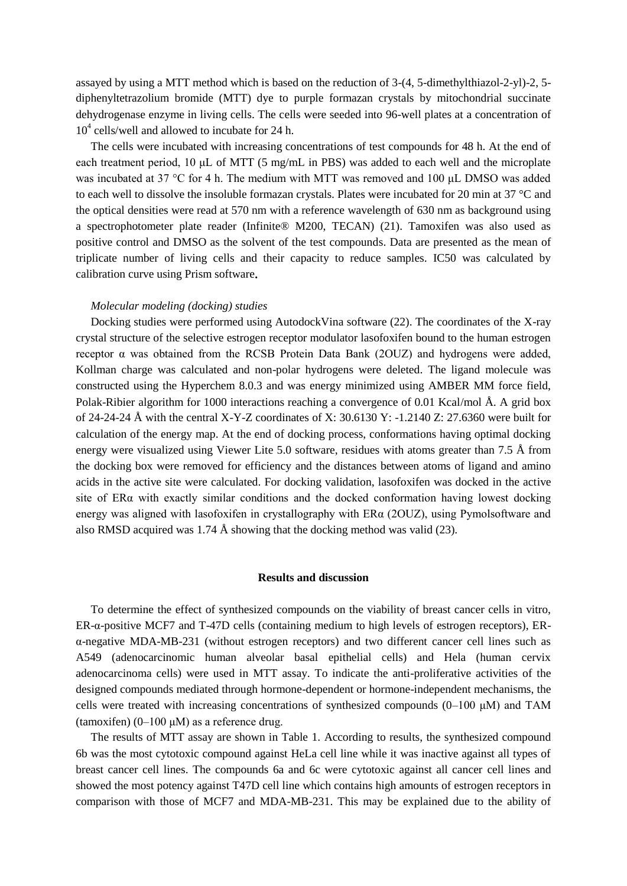assayed by using a MTT method which is based on the reduction of 3-(4, 5-dimethylthiazol-2-yl)-2, 5 diphenyltetrazolium bromide (MTT) dye to purple formazan crystals by mitochondrial succinate dehydrogenase enzyme in living cells. The cells were seeded into 96-well plates at a concentration of 10<sup>4</sup> cells/well and allowed to incubate for 24 h.

The cells were incubated with increasing concentrations of test compounds for 48 h. At the end of each treatment period, 10 μL of MTT (5 mg/mL in PBS) was added to each well and the microplate was incubated at 37 °C for 4 h. The medium with MTT was removed and 100 μL DMSO was added to each well to dissolve the insoluble formazan crystals. Plates were incubated for 20 min at 37 °C and the optical densities were read at 570 nm with a reference wavelength of 630 nm as background using a spectrophotometer plate reader (Infinite® M200, TECAN) (21). Tamoxifen was also used as positive control and DMSO as the solvent of the test compounds. Data are presented as the mean of triplicate number of living cells and their capacity to reduce samples. IC50 was calculated by calibration curve using Prism software**.**

#### *Molecular modeling (docking) studies*

Docking studies were performed using AutodockVina software (22). The coordinates of the X-ray crystal structure of the selective estrogen receptor modulator lasofoxifen bound to the human estrogen receptor α was obtained from the RCSB Protein Data Bank (2OUZ) and hydrogens were added, Kollman charge was calculated and non-polar hydrogens were deleted. The ligand molecule was constructed using the Hyperchem 8.0.3 and was energy minimized using AMBER MM force field, Polak-Ribier algorithm for 1000 interactions reaching a convergence of 0.01 Kcal/mol Å. A grid box of 24-24-24 Å with the central X-Y-Z coordinates of X: 30.6130 Y: -1.2140 Z: 27.6360 were built for calculation of the energy map. At the end of docking process, conformations having optimal docking energy were visualized using Viewer Lite 5.0 software, residues with atoms greater than 7.5 Å from the docking box were removed for efficiency and the distances between atoms of ligand and amino acids in the active site were calculated. For docking validation, lasofoxifen was docked in the active site of ERα with exactly similar conditions and the docked conformation having lowest docking energy was aligned with lasofoxifen in crystallography with  $ER\alpha$  (2OUZ), using Pymolsoftware and also RMSD acquired was 1.74 Å showing that the docking method was valid (23).

#### **Results and discussion**

To determine the effect of synthesized compounds on the viability of breast cancer cells in vitro, ER-α-positive MCF7 and T-47D cells (containing medium to high levels of estrogen receptors), ERα-negative MDA-MB-231 (without estrogen receptors) and two different cancer cell lines such as A549 (adenocarcinomic human alveolar basal epithelial cells) and Hela (human cervix adenocarcinoma cells) were used in MTT assay. To indicate the anti-proliferative activities of the designed compounds mediated through hormone-dependent or hormone-independent mechanisms, the cells were treated with increasing concentrations of synthesized compounds (0–100 μM) and TAM (tamoxifen)  $(0-100 \mu M)$  as a reference drug.

The results of MTT assay are shown in Table 1. According to results, the synthesized compound 6b was the most cytotoxic compound against HeLa cell line while it was inactive against all types of breast cancer cell lines. The compounds 6a and 6c were cytotoxic against all cancer cell lines and showed the most potency against T47D cell line which contains high amounts of estrogen receptors in comparison with those of MCF7 and MDA-MB-231. This may be explained due to the ability of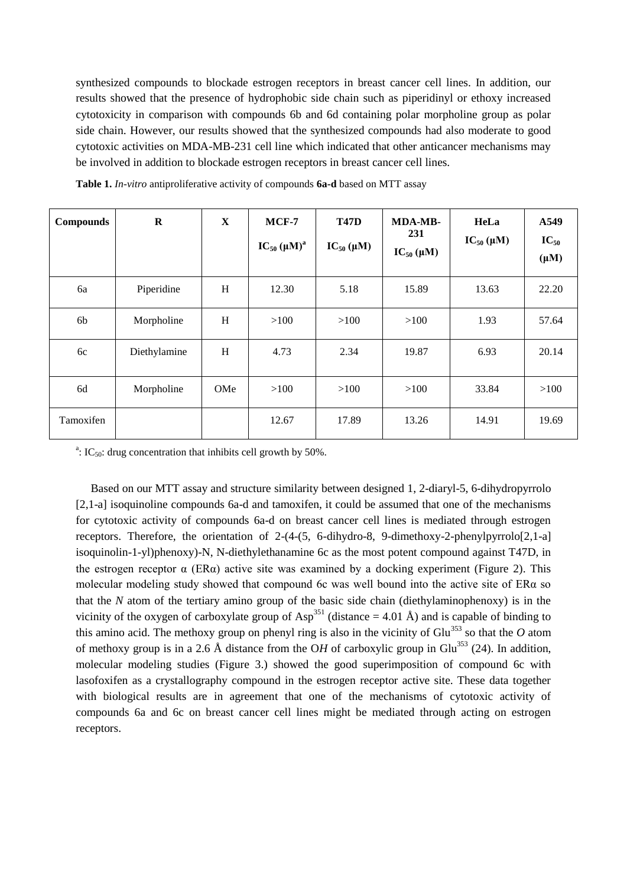synthesized compounds to blockade estrogen receptors in breast cancer cell lines. In addition, our results showed that the presence of hydrophobic side chain such as piperidinyl or ethoxy increased cytotoxicity in comparison with compounds 6b and 6d containing polar morpholine group as polar side chain. However, our results showed that the synthesized compounds had also moderate to good cytotoxic activities on MDA-MB-231 cell line which indicated that other anticancer mechanisms may be involved in addition to blockade estrogen receptors in breast cancer cell lines.

| <b>Compounds</b> | $\bf{R}$     | $\mathbf X$ | $MCF-7$<br>$IC_{50}$ $(\mu M)^a$ | <b>T47D</b><br>$IC_{50}(\mu M)$ | <b>MDA-MB-</b><br>231<br>$IC_{50}(\mu M)$ | HeLa<br>$IC_{50}(\mu M)$ | A549<br>$IC_{50}$<br>$(\mu M)$ |
|------------------|--------------|-------------|----------------------------------|---------------------------------|-------------------------------------------|--------------------------|--------------------------------|
| 6a               | Piperidine   | H           | 12.30                            | 5.18                            | 15.89                                     | 13.63                    | 22.20                          |
| 6b               | Morpholine   | H           | >100                             | >100                            | >100                                      | 1.93                     | 57.64                          |
| 6c               | Diethylamine | H           | 4.73                             | 2.34                            | 19.87                                     | 6.93                     | 20.14                          |
| 6d               | Morpholine   | OMe         | >100                             | >100                            | >100                                      | 33.84                    | >100                           |
| Tamoxifen        |              |             | 12.67                            | 17.89                           | 13.26                                     | 14.91                    | 19.69                          |

**Table 1.** *In-vitro* antiproliferative activity of compounds **6a-d** based on MTT assay

<sup>a</sup>: IC<sub>50</sub>: drug concentration that inhibits cell growth by 50%.

Based on our MTT assay and structure similarity between designed 1, 2-diaryl-5, 6-dihydropyrrolo [2,1-a] isoquinoline compounds 6a-d and tamoxifen, it could be assumed that one of the mechanisms for cytotoxic activity of compounds 6a-d on breast cancer cell lines is mediated through estrogen receptors. Therefore, the orientation of 2-(4-(5, 6-dihydro-8, 9-dimethoxy-2-phenylpyrrolo[2,1-a] isoquinolin-1-yl)phenoxy)-N, N-diethylethanamine 6c as the most potent compound against T47D, in the estrogen receptor  $\alpha$  (ER $\alpha$ ) active site was examined by a docking experiment (Figure 2). This molecular modeling study showed that compound 6c was well bound into the active site of ERα so that the *N* atom of the tertiary amino group of the basic side chain (diethylaminophenoxy) is in the vicinity of the oxygen of carboxylate group of Asp<sup>351</sup> (distance  $= 4.01 \text{ Å}$ ) and is capable of binding to this amino acid. The methoxy group on phenyl ring is also in the vicinity of Glu<sup>353</sup> so that the  $O$  atom of methoxy group is in a 2.6 Å distance from the OH of carboxylic group in Glu<sup>353</sup> (24). In addition, molecular modeling studies (Figure 3.) showed the good superimposition of compound 6c with lasofoxifen as a crystallography compound in the estrogen receptor active site. These data together with biological results are in agreement that one of the mechanisms of cytotoxic activity of compounds 6a and 6c on breast cancer cell lines might be mediated through acting on estrogen receptors.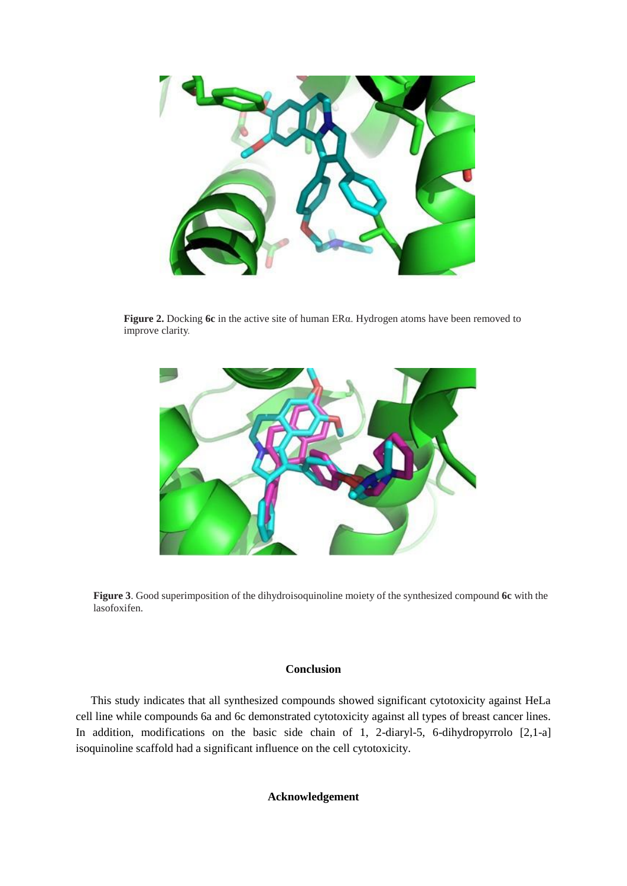

**Figure 2.** Docking **6c** in the active site of human ERα. Hydrogen atoms have been removed to improve clarity.



**Figure 3**. Good superimposition of the dihydroisoquinoline moiety of the synthesized compound **6c** with the lasofoxifen.

### **Conclusion**

This study indicates that all synthesized compounds showed significant cytotoxicity against HeLa cell line while compounds 6a and 6c demonstrated cytotoxicity against all types of breast cancer lines. In addition, modifications on the basic side chain of 1, 2-diaryl-5, 6-dihydropyrrolo [2,1-a] isoquinoline scaffold had a significant influence on the cell cytotoxicity.

#### **Acknowledgement**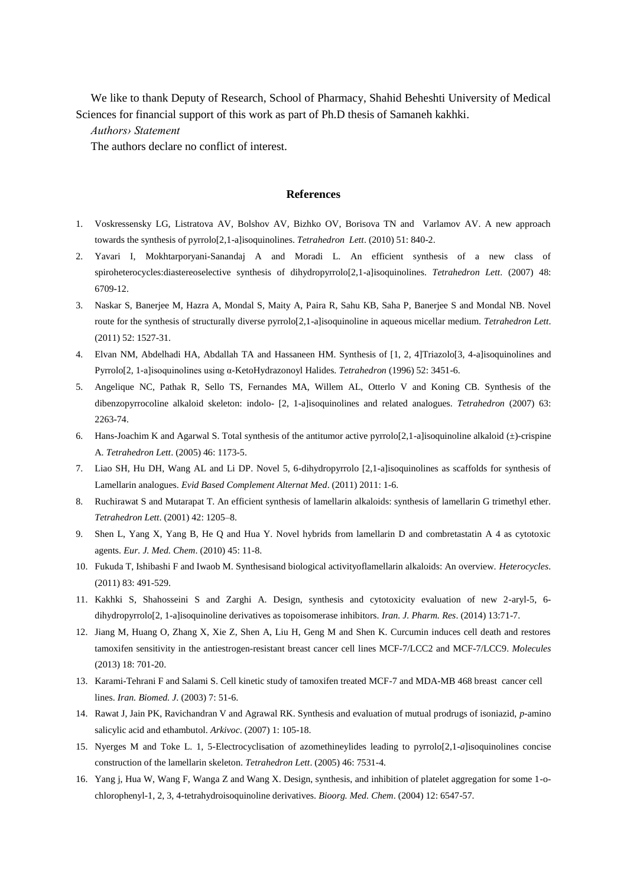We like to thank Deputy of Research, School of Pharmacy, Shahid Beheshti University of Medical Sciences for financial support of this work as part of Ph.D thesis of Samaneh kakhki.

*Authors› Statement* 

The authors declare no conflict of interest.

#### **References**

- 1. Voskressensky LG, Listratova AV, Bolshov AV, Bizhko OV, Borisova TN and Varlamov AV. A new approach towards the synthesis of pyrrolo[2,1-a]isoquinolines. *Tetrahedron Lett*. (2010) 51: 840-2.
- 2. Yavari I, Mokhtarporyani-Sanandaj A and Moradi L. An efficient synthesis of a new class of spiroheterocycles:diastereoselective synthesis of dihydropyrrolo[2,1-a]isoquinolines. *Tetrahedron Lett*. (2007) 48: 6709-12.
- 3. Naskar S, Banerjee M, Hazra A, Mondal S, Maity A, Paira R, Sahu KB, Saha P, Banerjee S and Mondal NB. Novel route for the synthesis of structurally diverse pyrrolo[2,1-a]isoquinoline in aqueous micellar medium. *Tetrahedron Lett*. (2011) 52: 1527-31.
- 4. Elvan NM, Abdelhadi HA, Abdallah TA and Hassaneen HM. Synthesis of [1, 2, 4]Triazolo[3, 4-a]isoquinolines and Pyrrolo[2, 1-a]isoquinolines using α-KetoHydrazonoyl Halides. *Tetrahedron* (1996) 52: 3451-6.
- 5. Angelique NC, Pathak R, Sello TS, Fernandes MA, Willem AL, Otterlo V and Koning CB. Synthesis of the dibenzopyrrocoline alkaloid skeleton: indolo- [2, 1-a]isoquinolines and related analogues. *Tetrahedron* (2007) 63: 2263-74.
- 6. Hans-Joachim K and Agarwal S. Total synthesis of the antitumor active pyrrolo[2,1-a]isoquinoline alkaloid  $(\pm)$ -crispine A. *Tetrahedron Lett*. (2005) 46: 1173-5.
- 7. Liao SH, Hu DH, Wang AL and Li DP. Novel 5, 6-dihydropyrrolo [2,1-a]isoquinolines as scaffolds for synthesis of Lamellarin analogues. *Evid Based Complement Alternat Med*. (2011) 2011: 1-6.
- 8. Ruchirawat S and Mutarapat T. An efficient synthesis of lamellarin alkaloids: synthesis of lamellarin G trimethyl ether. *Tetrahedron Lett*. (2001) 42: 1205–8.
- 9. Shen L, Yang X, Yang B, He Q and Hua Y. Novel hybrids from lamellarin D and combretastatin A 4 as cytotoxic agents. *Eur. J. Med. Chem*. (2010) 45: 11-8.
- 10. Fukuda T, Ishibashi F and Iwaob M. Synthesisand biological activityoflamellarin alkaloids: An overview. *Heterocycles*. (2011) 83: 491-529.
- 11. Kakhki S, Shahosseini S and Zarghi A. Design, synthesis and cytotoxicity evaluation of new 2-aryl-5, 6 dihydropyrrolo[2, 1-a]isoquinoline derivatives as topoisomerase inhibitors. *Iran. J. Pharm. Res*. (2014) 13:71-7.
- 12. Jiang M, Huang O, Zhang X, Xie Z, Shen A, Liu H, Geng M and Shen K. Curcumin induces cell death and restores tamoxifen sensitivity in the antiestrogen-resistant breast cancer cell lines MCF-7/LCC2 and MCF-7/LCC9. *Molecules* (2013) 18: 701-20.
- 13. Karami-Tehrani F and Salami S. Cell kinetic study of tamoxifen treated MCF-7 and MDA-MB 468 breast cancer cell lines. *Iran. Biomed. J*. (2003) 7: 51-6.
- 14. Rawat J, Jain PK, Ravichandran V and Agrawal RK. Synthesis and evaluation of mutual prodrugs of isoniazid, *p*-amino salicylic acid and ethambutol. *Arkivoc*. (2007) 1: 105-18.
- 15. Nyerges M and Toke L. 1, 5-Electrocyclisation of azomethineylides leading to pyrrolo[2,1-*a*]isoquinolines concise construction of the lamellarin skeleton. *Tetrahedron Lett*. (2005) 46: 7531-4.
- 16. Yang j, Hua W, Wang F, Wanga Z and Wang X. Design, synthesis, and inhibition of platelet aggregation for some 1-ochlorophenyl-1, 2, 3, 4-tetrahydroisoquinoline derivatives. *Bioorg. Med. Chem*. (2004) 12: 6547-57.